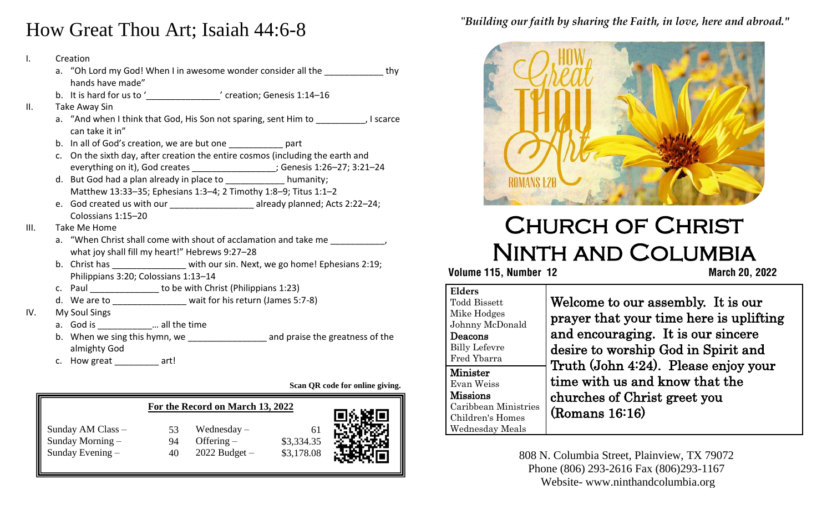## How Great Thou Art; Isaiah 44:6-8

- I. Creation
- a. en Esta in jesse. a. "Oh Lord my God! When I in awesome wonder consider all the thy
- $B = \frac{B}{2}$  and  $B = \frac{B}{2}$  or  $B = \frac{B}{2}$ b. It is hard for us to '\_\_\_\_\_\_\_\_\_\_\_\_\_\_\_\_\_\_\_\_' creation; Genesis 1:14–16
- II. Take Away Sin
	- a. "And when I think that God, His Son not sparing, sent Him to ..., I scarce can take it in"
	- b. In all of God's creation, we are but one part
	- c. On the sixth day, after creation the entire cosmos (including the earth and everything on it), God creates \_\_\_\_\_\_\_\_\_\_\_\_\_\_\_\_\_; Genesis 1:26–27; 3:21–24
	- d. But God had a plan already in place to humanity: Matthew 13:33–35; Ephesians 1:3–4; 2 Timothy 1:8–9; Titus 1:1–2
	- e. God created us with our \_\_\_\_\_\_\_\_\_\_\_\_\_\_\_\_\_\_ already planned; Acts 2:22-24; Colossians 1:15–20
- III. Take Me Home
	- a. "When Christ shall come with shout of acclamation and take me what joy shall fill my heart!" Hebrews 9:27–28
	- b. Christ has \_\_\_\_\_\_\_\_\_\_\_\_\_\_\_ with our sin. Next, we go home! Ephesians 2:19; Philippians 3:20; Colossians 1:13–14
	- c. Paul \_\_\_\_\_\_\_\_\_\_\_\_\_\_\_\_\_ to be with Christ (Philippians 1:23)
	- d. We are to **wait for his return (James 5:7-8)**
- IV. My Soul Sings
	- a. God is \_\_\_\_\_\_\_\_\_\_\_… all the time
	- b. When we sing this hymn, we **Example 20** and praise the greatness of the almighty God
	- c. How great art!

**Scan QR code for online giving.**

|                                                           | For the Record on March 13, 2022 |                                                    |                          | 回族族回 |
|-----------------------------------------------------------|----------------------------------|----------------------------------------------------|--------------------------|------|
| Sunday AM Class -<br>Sunday Morning –<br>Sunday Evening - | 53<br>94<br>40                   | Wednesday $-$<br>Offering $-$<br>$2022$ Budget $-$ | \$3,334.35<br>\$3,178.08 |      |

#### "*Building our faith by sharing the Faith, in love, here and abroad."*



# Church of Christ Ninth and Columbia

### **Volume 115, Number 12 March 20, 2022**

| <b>Elders</b><br><b>Todd Bissett</b><br>Mike Hodges<br>Johnny McDonald<br>Deacons<br><b>Billy Lefevre</b><br>Fred Ybarra | Welcome to our assembly. It is our<br>prayer that your time here is uplifting<br>and encouraging. It is our sincere<br>desire to worship God in Spirit and |
|--------------------------------------------------------------------------------------------------------------------------|------------------------------------------------------------------------------------------------------------------------------------------------------------|
| <b>Minister</b><br>Evan Weiss<br><b>Missions</b><br>Caribbean Ministries<br>Children's Homes<br>Wednesday Meals          | Truth (John 4:24). Please enjoy your<br>time with us and know that the<br>churches of Christ greet you<br>(Romans 16:16)                                   |

808 N. Columbia Street, Plainview, TX 79072 Phone (806) 293-2616 Fax (806)293-1167 Website- www.ninthandcolumbia.org